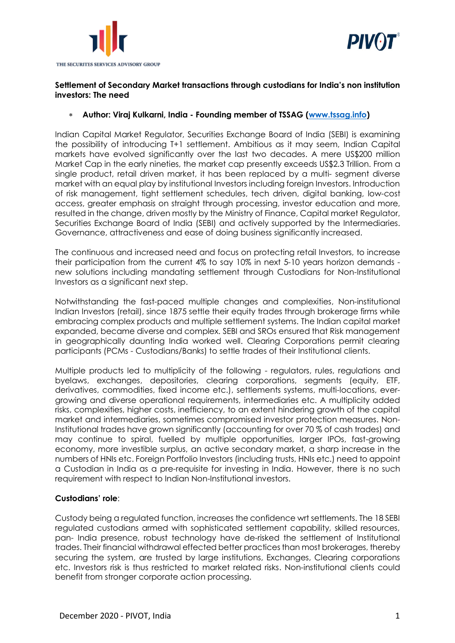



# **Settlement of Secondary Market transactions through custodians for India's non institution investors: The need**

### **Author: Viraj Kulkarni, India - Founding member of TSSAG [\(www.tssag.info\)](http://www.tssag.info/)**

Indian Capital Market Regulator, Securities Exchange Board of India (SEBI) is examining the possibility of introducing T+1 settlement. Ambitious as it may seem, Indian Capital markets have evolved significantly over the last two decades. A mere US\$200 million Market Cap in the early nineties, the market cap presently exceeds US\$2.3 Trillion. From a single product, retail driven market, it has been replaced by a multi- segment diverse market with an equal play by institutional Investors including foreign Investors. Introduction of risk management, tight settlement schedules, tech driven, digital banking, low-cost access, greater emphasis on straight through processing, investor education and more, resulted in the change, driven mostly by the Ministry of Finance, Capital market Regulator, Securities Exchange Board of India (SEBI) and actively supported by the Intermediaries. Governance, attractiveness and ease of doing business significantly increased.

The continuous and increased need and focus on protecting retail Investors, to increase their participation from the current 4% to say 10% in next 5-10 years horizon demands new solutions including mandating settlement through Custodians for Non-Institutional Investors as a significant next step.

Notwithstanding the fast-paced multiple changes and complexities, Non-institutional Indian Investors (retail), since 1875 settle their equity trades through brokerage firms while embracing complex products and multiple settlement systems. The Indian capital market expanded, became diverse and complex. SEBI and SROs ensured that Risk management in geographically daunting India worked well. Clearing Corporations permit clearing participants (PCMs - Custodians/Banks) to settle trades of their Institutional clients.

Multiple products led to multiplicity of the following - regulators, rules, regulations and byelaws, exchanges, depositories, clearing corporations, segments (equity, ETF, derivatives, commodities, fixed income etc.), settlements systems, multi-locations, evergrowing and diverse operational requirements, intermediaries etc. A multiplicity added risks, complexities, higher costs, inefficiency, to an extent hindering growth of the capital market and intermediaries, sometimes compromised investor protection measures. Non-Institutional trades have grown significantly (accounting for over 70 % of cash trades) and may continue to spiral, fuelled by multiple opportunities, larger IPOs, fast-growing economy, more investible surplus, an active secondary market, a sharp increase in the numbers of HNIs etc. Foreign Portfolio Investors (including trusts, HNIs etc.) need to appoint a Custodian in India as a pre-requisite for investing in India. However, there is no such requirement with respect to Indian Non-Institutional investors.

## **Custodians' role**:

Custody being a regulated function, increases the confidence wrt settlements. The 18 SEBI regulated custodians armed with sophisticated settlement capability, skilled resources, pan- India presence, robust technology have de-risked the settlement of Institutional trades. Their financial withdrawal effected better practices than most brokerages, thereby securing the system, are trusted by large institutions, Exchanges, Clearing corporations etc. Investors risk is thus restricted to market related risks. Non-institutional clients could benefit from stronger corporate action processing.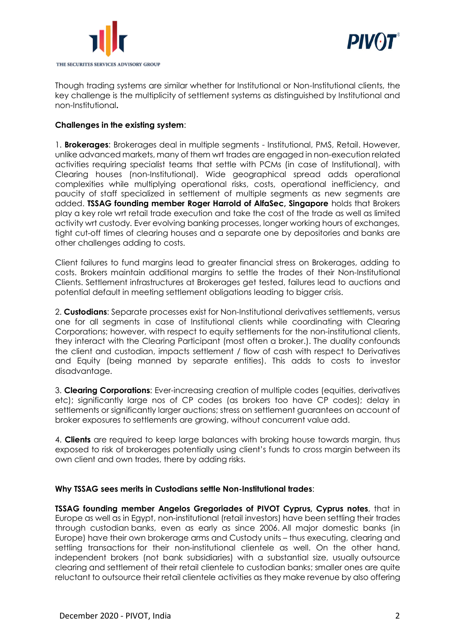



Though trading systems are similar whether for Institutional or Non-Institutional clients, the key challenge is the multiplicity of settlement systems as distinguished by Institutional and non-Institutional**.**

### **Challenges in the existing system**:

1. **Brokerages**: Brokerages deal in multiple segments - Institutional, PMS, Retail. However, unlike advanced markets, many of them wrt trades are engaged in non-execution related activities requiring specialist teams that settle with PCMs (in case of Institutional), with Clearing houses (non-Institutional). Wide geographical spread adds operational complexities while multiplying operational risks, costs, operational inefficiency, and paucity of staff specialized in settlement of multiple segments as new segments are added. **TSSAG founding member Roger Harrold of AlfaSec, Singapore** holds that Brokers play a key role wrt retail trade execution and take the cost of the trade as well as limited activity wrt custody. Ever evolving banking processes, longer working hours of exchanges, tight cut-off times of clearing houses and a separate one by depositories and banks are other challenges adding to costs.

Client failures to fund margins lead to greater financial stress on Brokerages, adding to costs. Brokers maintain additional margins to settle the trades of their Non-Institutional Clients. Settlement infrastructures at Brokerages get tested, failures lead to auctions and potential default in meeting settlement obligations leading to bigger crisis.

2. **Custodians**: Separate processes exist for Non-Institutional derivatives settlements, versus one for all segments in case of Institutional clients while coordinating with Clearing Corporations; however, with respect to equity settlements for the non-institutional clients, they interact with the Clearing Participant (most often a broker.). The duality confounds the client and custodian, impacts settlement / flow of cash with respect to Derivatives and Equity (being manned by separate entities). This adds to costs to investor disadvantage.

3. **Clearing Corporations**: Ever-increasing creation of multiple codes (equities, derivatives etc); significantly large nos of CP codes (as brokers too have CP codes); delay in settlements or significantly larger auctions; stress on settlement guarantees on account of broker exposures to settlements are growing, without concurrent value add.

4. **Clients** are required to keep large balances with broking house towards margin, thus exposed to risk of brokerages potentially using client's funds to cross margin between its own client and own trades, there by adding risks.

#### **Why TSSAG sees merits in Custodians settle Non-Institutional trades**:

**TSSAG founding member Angelos Gregoriades of PIVOT Cyprus, Cyprus notes**, that in Europe as well as in Egypt, non-institutional (retail investors) have been settling their trades through custodian banks, even as early as since 2006. All major domestic banks (in Europe) have their own brokerage arms and Custody units – thus executing, clearing and settling transactions for their non-institutional clientele as well. On the other hand, independent brokers (not bank subsidiaries) with a substantial size, usually outsource clearing and settlement of their retail clientele to custodian banks; smaller ones are quite reluctant to outsource their retail clientele activities as they make revenue by also offering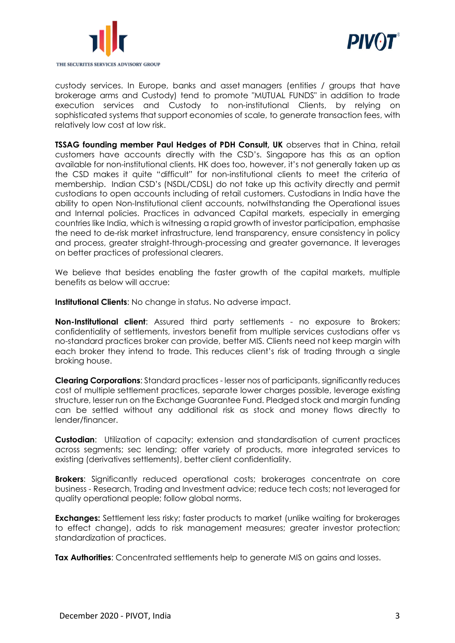



custody services. In Europe, banks and asset managers (entities / groups that have brokerage arms and Custody) tend to promote "MUTUAL FUNDS" in addition to trade execution services and Custody to non-institutional Clients, by relying on sophisticated systems that support economies of scale, to generate transaction fees, with relatively low cost at low risk.

**TSSAG founding member Paul Hedges of PDH Consult, UK** observes that in China, retail customers have accounts directly with the CSD's. Singapore has this as an option available for non-institutional clients. HK does too, however, it's not generally taken up as the CSD makes it quite "difficult" for non-institutional clients to meet the criteria of membership. Indian CSD's (NSDL/CDSL) do not take up this activity directly and permit custodians to open accounts including of retail customers. Custodians in India have the ability to open Non-Institutional client accounts, notwithstanding the Operational issues and Internal policies. Practices in advanced Capital markets, especially in emerging countries like India, which is witnessing a rapid growth of investor participation, emphasise the need to de-risk market infrastructure, lend transparency, ensure consistency in policy and process, greater straight-through-processing and greater governance. It leverages on better practices of professional clearers.

We believe that besides enabling the faster growth of the capital markets, multiple benefits as below will accrue:

**Institutional Clients**: No change in status. No adverse impact.

**Non-Institutional client**: Assured third party settlements - no exposure to Brokers; confidentiality of settlements, investors benefit from multiple services custodians offer vs no-standard practices broker can provide, better MIS. Clients need not keep margin with each broker they intend to trade. This reduces client's risk of trading through a single broking house.

**Clearing Corporations**: Standard practices - lesser nos of participants, significantly reduces cost of multiple settlement practices, separate lower charges possible, leverage existing structure, lesser run on the Exchange Guarantee Fund. Pledged stock and margin funding can be settled without any additional risk as stock and money flows directly to lender/financer.

**Custodian**: Utilization of capacity; extension and standardisation of current practices across segments; sec lending; offer variety of products, more integrated services to existing (derivatives settlements), better client confidentiality.

**Brokers**: Significantly reduced operational costs; brokerages concentrate on core business - Research, Trading and Investment advice; reduce tech costs; not leveraged for quality operational people; follow global norms.

**Exchanges:** Settlement less risky: faster products to market (unlike waiting for brokerages to effect change), adds to risk management measures; greater investor protection; standardization of practices.

**Tax Authorities:** Concentrated settlements help to generate MIS on gains and losses.